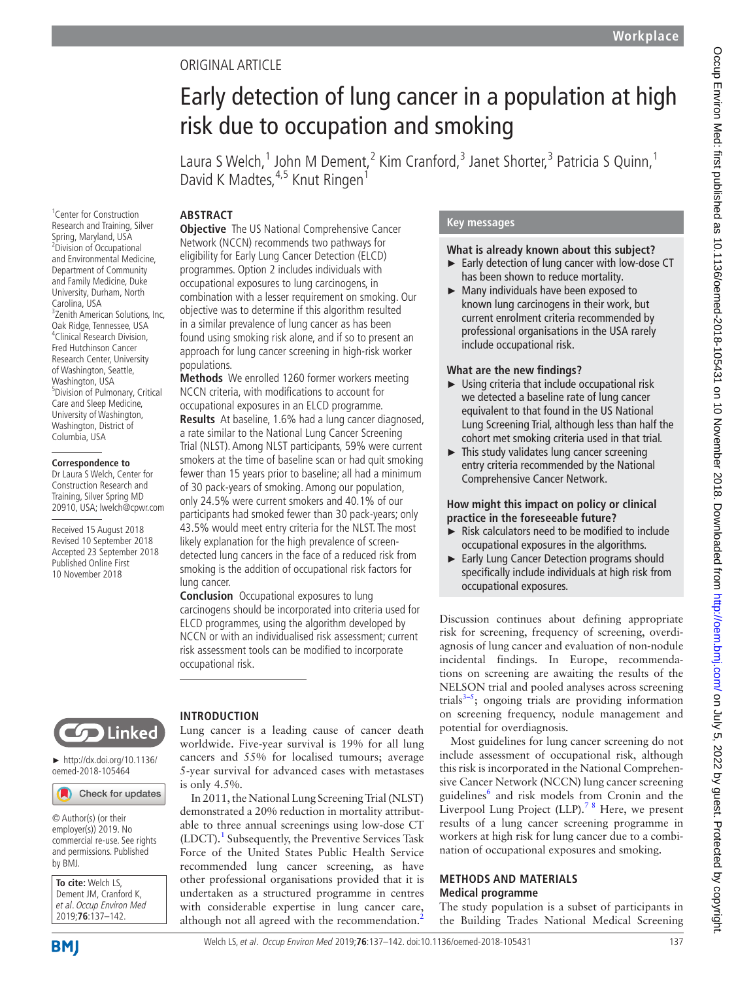# Original article

# Early detection of lung cancer in a population at high risk due to occupation and smoking

Laura S Welch,<sup>1</sup> John M Dement,<sup>2</sup> Kim Cranford,<sup>3</sup> Janet Shorter,<sup>3</sup> Patricia S Quinn,<sup>1</sup> David K Madtes, <sup>4,5</sup> Knut Ringen<sup>1</sup>

# **Abstract**

1 Center for Construction Research and Training, Silver Spring, Maryland, USA <sup>2</sup> <sup>2</sup>Division of Occupational and Environmental Medicine, Department of Community and Family Medicine, Duke University, Durham, North Carolina, USA <sup>3</sup>Zenith American Solutions, Inc, Oak Ridge, Tennessee, USA <sup>4</sup> Clinical Research Division, Fred Hutchinson Cancer Research Center, University of Washington, Seattle, Washington, USA <sup>5</sup> Division of Pulmonary, Critical Care and Sleep Medicine, University of Washington, Washington, District of Columbia, USA

### **Correspondence to**

Dr Laura S Welch, Center for Construction Research and Training, Silver Spring MD 20910, USA; lwelch@cpwr.com

Received 15 August 2018 Revised 10 September 2018 Accepted 23 September 2018 Published Online First 10 November 2018

## **Objective** The US National Comprehensive Cancer Network (NCCN) recommends two pathways for eligibility for Early Lung Cancer Detection (ELCD) programmes. Option 2 includes individuals with occupational exposures to lung carcinogens, in combination with a lesser requirement on smoking. Our objective was to determine if this algorithm resulted in a similar prevalence of lung cancer as has been found using smoking risk alone, and if so to present an approach for lung cancer screening in high-risk worker populations.

**Methods** We enrolled 1260 former workers meeting NCCN criteria, with modifications to account for occupational exposures in an ELCD programme. **Results** At baseline, 1.6% had a lung cancer diagnosed, a rate similar to the National Lung Cancer Screening Trial (NLST). Among NLST participants, 59% were current smokers at the time of baseline scan or had quit smoking fewer than 15 years prior to baseline; all had a minimum of 30 pack-years of smoking. Among our population, only 24.5% were current smokers and 40.1% of our participants had smoked fewer than 30 pack-years; only 43.5% would meet entry criteria for the NLST. The most likely explanation for the high prevalence of screendetected lung cancers in the face of a reduced risk from smoking is the addition of occupational risk factors for lung cancer.

**Conclusion** Occupational exposures to lung carcinogens should be incorporated into criteria used for ELCD programmes, using the algorithm developed by NCCN or with an individualised risk assessment; current risk assessment tools can be modified to incorporate occupational risk.



► [http://dx.doi.org/10.1136/](http://dx.doi.org/10.1136/oemed-2018-105464) [oemed-2018-105464](http://dx.doi.org/10.1136/oemed-2018-105464)

# Check for updates

© Author(s) (or their employer(s)) 2019. No commercial re-use. See rights and permissions. Published by BMJ.

**To cite:** Welch LS, Dement JM, Cranford K, et al. Occup Environ Med 2019;**76**:137–142.

# **Introduction**

Lung cancer is a leading cause of cancer death worldwide. Five-year survival is 19% for all lung cancers and 55% for localised tumours; average 5-year survival for advanced cases with metastases is only 4.5%.

In 2011, the National Lung Screening Trial (NLST) demonstrated a 20% reduction in mortality attributable to three annual screenings using low-dose CT (LDCT).<sup>[1](#page-5-0)</sup> Subsequently, the Preventive Services Task Force of the United States Public Health Service recommended lung cancer screening, as have other professional organisations provided that it is undertaken as a structured programme in centres with considerable expertise in lung cancer care, although not all agreed with the recommendation.<sup>[2](#page-5-1)</sup>

## **Key messages**

## **What is already known about this subject?**

- ► Early detection of lung cancer with low-dose CT has been shown to reduce mortality.
- ► Many individuals have been exposed to known lung carcinogens in their work, but current enrolment criteria recommended by professional organisations in the USA rarely include occupational risk.

## **What are the new findings?**

- ► Using criteria that include occupational risk we detected a baseline rate of lung cancer equivalent to that found in the US National Lung Screening Trial, although less than half the cohort met smoking criteria used in that trial.
- ► This study validates lung cancer screening entry criteria recommended by the National Comprehensive Cancer Network.

## **How might this impact on policy or clinical practice in the foreseeable future?**

- $\blacktriangleright$  Risk calculators need to be modified to include occupational exposures in the algorithms.
- ► Early Lung Cancer Detection programs should specifically include individuals at high risk from occupational exposures.

Discussion continues about defining appropriate risk for screening, frequency of screening, overdiagnosis of lung cancer and evaluation of non-nodule incidental findings. In Europe, recommendations on screening are awaiting the results of the NELSON trial and pooled analyses across screening trials $3-5$ ; ongoing trials are providing information on screening frequency, nodule management and potential for overdiagnosis.

Most guidelines for lung cancer screening do not include assessment of occupational risk, although this risk is incorporated in the National Comprehensive Cancer Network (NCCN) lung cancer screening guidelines<sup>[6](#page-5-3)</sup> and risk models from Cronin and the Liverpool Lung Project  $(LLP)$ .<sup>78</sup> Here, we present results of a lung cancer screening programme in workers at high risk for lung cancer due to a combination of occupational exposures and smoking.

## **METHODS AND MATERIALS Medical programme**

The study population is a subset of participants in the Building Trades National Medical Screening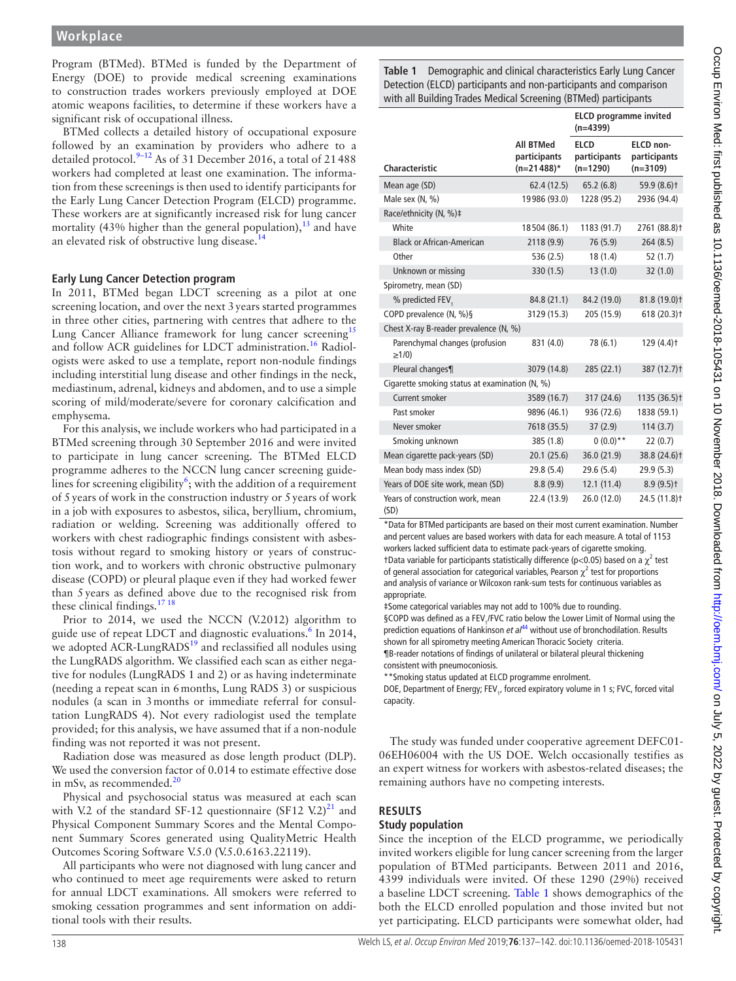Program (BTMed). BTMed is funded by the Department of Energy (DOE) to provide medical screening examinations to construction trades workers previously employed at DOE atomic weapons facilities, to determine if these workers have a significant risk of occupational illness.

BTMed collects a detailed history of occupational exposure followed by an examination by providers who adhere to a detailed protocol. $9-12$  As of 31 December 2016, a total of 21488 workers had completed at least one examination. The information from these screenings is then used to identify participants for the Early Lung Cancer Detection Program (ELCD) programme. These workers are at significantly increased risk for lung cancer mortality (43% higher than the general population), $^{13}$  and have an elevated risk of obstructive lung disease.<sup>[14](#page-5-8)</sup>

# **Early Lung Cancer Detection program**

In 2011, BTMed began LDCT screening as a pilot at one screening location, and over the next 3years started programmes in three other cities, partnering with centres that adhere to the Lung Cancer Alliance framework for lung cancer screening<sup>[15](#page-5-9)</sup> and follow ACR guidelines for LDCT administration.<sup>[16](#page-5-10)</sup> Radiologists were asked to use a template, report non-nodule findings including interstitial lung disease and other findings in the neck, mediastinum, adrenal, kidneys and abdomen, and to use a simple scoring of mild/moderate/severe for coronary calcification and emphysema.

For this analysis, we include workers who had participated in a BTMed screening through 30 September 2016 and were invited to participate in lung cancer screening. The BTMed ELCD programme adheres to the NCCN lung cancer screening guidelines for screening eligibility<sup>6</sup>; with the addition of a requirement of 5years of work in the construction industry or 5years of work in a job with exposures to asbestos, silica, beryllium, chromium, radiation or welding. Screening was additionally offered to workers with chest radiographic findings consistent with asbestosis without regard to smoking history or years of construction work, and to workers with chronic obstructive pulmonary disease (COPD) or pleural plaque even if they had worked fewer than 5years as defined above due to the recognised risk from these clinical findings.<sup>17 18</sup>

Prior to 2014, we used the NCCN (V.2012) algorithm to guide use of repeat LDCT and diagnostic evaluations.<sup>6</sup> In 2014, we adopted  $\angle$ ACR-LungRADS<sup>[19](#page-5-12)</sup> and reclassified all nodules using the LungRADS algorithm. We classified each scan as either negative for nodules (LungRADS 1 and 2) or as having indeterminate (needing a repeat scan in 6months, Lung RADS 3) or suspicious nodules (a scan in 3months or immediate referral for consultation LungRADS 4). Not every radiologist used the template provided; for this analysis, we have assumed that if a non-nodule finding was not reported it was not present.

Radiation dose was measured as dose length product (DLP). We used the conversion factor of 0.014 to estimate effective dose in mSv, as recommended. $20$ 

Physical and psychosocial status was measured at each scan with V.2 of the standard SF-12 questionnaire (SF12 V.2)<sup>21</sup> and Physical Component Summary Scores and the Mental Component Summary Scores generated using QualityMetric Health Outcomes Scoring Software V.5.0 (V.5.0.6163.22119).

All participants who were not diagnosed with lung cancer and who continued to meet age requirements were asked to return for annual LDCT examinations. All smokers were referred to smoking cessation programmes and sent information on additional tools with their results.

<span id="page-1-0"></span>**Table 1** Demographic and clinical characteristics Early Lung Cancer Detection (ELCD) participants and non-participants and comparison with all Building Trades Medical Screening (BTMed) participants

|                                                |                                                   | <b>ELCD</b> programme invited<br>$(n=4399)$ |                                         |  |  |
|------------------------------------------------|---------------------------------------------------|---------------------------------------------|-----------------------------------------|--|--|
| Characteristic                                 | <b>All BTMed</b><br>participants<br>$(n=21488)^*$ | <b>ELCD</b><br>participants<br>$(n=1290)$   | ELCD non-<br>participants<br>$(n=3109)$ |  |  |
| Mean age (SD)                                  | 62.4 (12.5)                                       | 65.2(6.8)                                   | $59.9(8.6)$ <sup>+</sup>                |  |  |
| Male sex (N, %)                                | 19986 (93.0)                                      | 1228 (95.2)                                 | 2936 (94.4)                             |  |  |
| Race/ethnicity (N, %)‡                         |                                                   |                                             |                                         |  |  |
| White                                          | 18504 (86.1)                                      | 1183 (91.7)                                 | 2761 (88.8)t                            |  |  |
| <b>Black or African-American</b>               | 2118 (9.9)                                        | 76 (5.9)                                    | 264(8.5)                                |  |  |
| Other                                          | 536 (2.5)                                         | 18(1.4)                                     | 52(1.7)                                 |  |  |
| Unknown or missing                             | 330 (1.5)                                         | 13(1.0)                                     | 32(1.0)                                 |  |  |
| Spirometry, mean (SD)                          |                                                   |                                             |                                         |  |  |
| % predicted FEV,                               | 84.8 (21.1)                                       | 84.2 (19.0)                                 | 81.8 (19.0)t                            |  |  |
| COPD prevalence (N, %)§                        | 3129 (15.3)                                       | 205 (15.9)                                  | 618(20.3)                               |  |  |
| Chest X-ray B-reader prevalence (N, %)         |                                                   |                                             |                                         |  |  |
| Parenchymal changes (profusion<br>$\geq$ 1/0)  | 831 (4.0)                                         | 78 (6.1)                                    | $129(4.4)$ <sup>+</sup>                 |  |  |
| Pleural changes¶                               | 3079 (14.8)                                       | 285 (22.1)                                  | 387 (12.7)t                             |  |  |
| Cigarette smoking status at examination (N, %) |                                                   |                                             |                                         |  |  |
| Current smoker                                 | 3589 (16.7)                                       | 317 (24.6)                                  | 1135 (36.5)t                            |  |  |
| Past smoker                                    | 9896 (46.1)                                       | 936 (72.6)                                  | 1838 (59.1)                             |  |  |
| Never smoker                                   | 7618 (35.5)                                       | 37(2.9)                                     | 114(3.7)                                |  |  |
| Smoking unknown                                | 385 (1.8)                                         | $0(0.0)**$                                  | 22(0.7)                                 |  |  |
| Mean cigarette pack-years (SD)                 | 20.1(25.6)                                        | 36.0 (21.9)                                 | 38.8 (24.6)+                            |  |  |
| Mean body mass index (SD)                      | 29.8 (5.4)                                        | 29.6(5.4)                                   | 29.9(5.3)                               |  |  |
| Years of DOE site work, mean (SD)              | 8.8(9.9)                                          | 12.1(11.4)                                  | $8.9(9.5)$ <sup>+</sup>                 |  |  |
| Years of construction work, mean<br>(SD)       | 22.4 (13.9)                                       | 26.0 (12.0)                                 | 24.5 (11.8)+                            |  |  |

\*Data for BTMed participants are based on their most current examination. Number and percent values are based workers with data for each measure. A total of 1153 workers lacked sufficient data to estimate pack-years of cigarette smoking. †Data variable for participants statistically difference (p<0.05) based on a  $\chi^2$  test of general association for categorical variables, Pearson  $\chi^2$  test for proportions and analysis of variance or Wilcoxon rank-sum tests for continuous variables as appropriate.

‡Some categorical variables may not add to 100% due to rounding.

§COPD was defined as a FEV<sub>1</sub>/FVC ratio below the Lower Limit of Normal using the prediction equations of Hankinson *et al*<sup>[44](#page-5-5)</sup> without use of bronchodilation. Results shown for all spirometry meeting American Thoracic Society criteria. ¶B-reader notations of findings of unilateral or bilateral pleural thickening

consistent with pneumoconiosis. \*\*Smoking status updated at ELCD programme enrolment.

DOE, Department of Energy; FEV<sub>1</sub>, forced expiratory volume in 1 s; FVC, forced vital capacity.

The study was funded under cooperative agreement DEFC01- 06EH06004 with the US DOE. Welch occasionally testifies as an expert witness for workers with asbestos-related diseases; the remaining authors have no competing interests.

# **Results**

# **Study population**

Since the inception of the ELCD programme, we periodically invited workers eligible for lung cancer screening from the larger population of BTMed participants. Between 2011 and 2016, 4399 individuals were invited. Of these 1290 (29%) received a baseline LDCT screening. [Table](#page-1-0) 1 shows demographics of the both the ELCD enrolled population and those invited but not yet participating. ELCD participants were somewhat older, had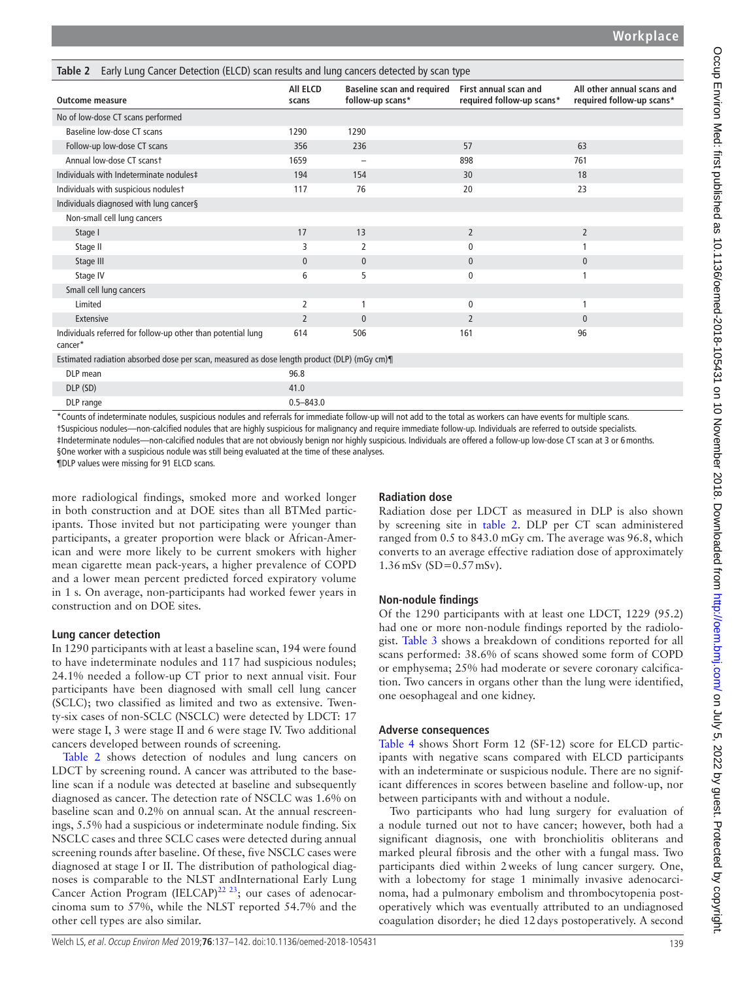<span id="page-2-0"></span>

| Early Lung Cancer Detection (ELCD) scan results and lung cancers detected by scan type<br>Table 2 |                   |                                                       |                                                    |                                                         |  |
|---------------------------------------------------------------------------------------------------|-------------------|-------------------------------------------------------|----------------------------------------------------|---------------------------------------------------------|--|
| <b>Outcome measure</b>                                                                            | All ELCD<br>scans | <b>Baseline scan and required</b><br>follow-up scans* | First annual scan and<br>required follow-up scans* | All other annual scans and<br>required follow-up scans* |  |
| No of low-dose CT scans performed                                                                 |                   |                                                       |                                                    |                                                         |  |
| Baseline low-dose CT scans                                                                        | 1290              | 1290                                                  |                                                    |                                                         |  |
| Follow-up low-dose CT scans                                                                       | 356               | 236                                                   | 57                                                 | 63                                                      |  |
| Annual low-dose CT scanst                                                                         | 1659              |                                                       | 898                                                | 761                                                     |  |
| Individuals with Indeterminate nodules‡                                                           | 194               | 154                                                   | 30                                                 | 18                                                      |  |
| Individuals with suspicious nodulest                                                              | 117               | 76                                                    | 20                                                 | 23                                                      |  |
| Individuals diagnosed with lung cancer§                                                           |                   |                                                       |                                                    |                                                         |  |
| Non-small cell lung cancers                                                                       |                   |                                                       |                                                    |                                                         |  |
| Stage I                                                                                           | 17                | 13                                                    | $\overline{2}$                                     | $\overline{2}$                                          |  |
| Stage II                                                                                          | 3                 | 2                                                     | $\mathbf{0}$                                       |                                                         |  |
| Stage III                                                                                         | $\mathbf{0}$      | $\mathbf{0}$                                          | $\mathbf{0}$                                       | $\mathbf{0}$                                            |  |
| Stage IV                                                                                          | 6                 | 5                                                     | $\mathbf{0}$                                       |                                                         |  |
| Small cell lung cancers                                                                           |                   |                                                       |                                                    |                                                         |  |
| Limited                                                                                           | 2                 | 1                                                     | $\mathbf{0}$                                       | 1                                                       |  |
| Extensive                                                                                         | $\overline{2}$    | $\mathbf{0}$                                          | $\overline{2}$                                     | $\mathbf{0}$                                            |  |
| Individuals referred for follow-up other than potential lung<br>cancer*                           | 614               | 506                                                   | 161                                                | 96                                                      |  |
| Estimated radiation absorbed dose per scan, measured as dose length product (DLP) (mGy cm)¶       |                   |                                                       |                                                    |                                                         |  |
| DLP mean                                                                                          | 96.8              |                                                       |                                                    |                                                         |  |
| DLP (SD)                                                                                          | 41.0              |                                                       |                                                    |                                                         |  |
| DLP range                                                                                         | $0.5 - 843.0$     |                                                       |                                                    |                                                         |  |

\*Counts of indeterminate nodules, suspicious nodules and referrals for immediate follow-up will not add to the total as workers can have events for multiple scans. †Suspicious nodules—non-calcified nodules that are highly suspicious for malignancy and require immediate follow-up. Individuals are referred to outside specialists. ‡Indeterminate nodules—non-calcified nodules that are not obviously benign nor highly suspicious. Individuals are offered a follow-up low-dose CT scan at 3 or 6months. §One worker with a suspicious nodule was still being evaluated at the time of these analyses.

¶DLP values were missing for 91 ELCD scans.

more radiological findings, smoked more and worked longer in both construction and at DOE sites than all BTMed participants. Those invited but not participating were younger than participants, a greater proportion were black or African-American and were more likely to be current smokers with higher mean cigarette mean pack-years, a higher prevalence of COPD and a lower mean percent predicted forced expiratory volume in 1 s. On average, non-participants had worked fewer years in construction and on DOE sites.

# **Lung cancer detection**

In 1290 participants with at least a baseline scan, 194 were found to have indeterminate nodules and 117 had suspicious nodules; 24.1% needed a follow-up CT prior to next annual visit. Four participants have been diagnosed with small cell lung cancer (SCLC); two classified as limited and two as extensive. Twenty-six cases of non-SCLC (NSCLC) were detected by LDCT: 17 were stage I, 3 were stage II and 6 were stage IV. Two additional cancers developed between rounds of screening.

[Table](#page-2-0) 2 shows detection of nodules and lung cancers on LDCT by screening round. A cancer was attributed to the baseline scan if a nodule was detected at baseline and subsequently diagnosed as cancer. The detection rate of NSCLC was 1.6% on baseline scan and 0.2% on annual scan. At the annual rescreenings, 5.5% had a suspicious or indeterminate nodule finding. Six NSCLC cases and three SCLC cases were detected during annual screening rounds after baseline. Of these, five NSCLC cases were diagnosed at stage I or II. The distribution of pathological diagnoses is comparable to the NLST andInternational Early Lung Cancer Action Program (IELCAP)<sup>22 23</sup>; our cases of adenocarcinoma sum to 57%, while the NLST reported 54.7% and the other cell types are also similar.

# **Radiation dose**

Radiation dose per LDCT as measured in DLP is also shown by screening site in [table](#page-2-0) 2. DLP per CT scan administered ranged from 0.5 to 843.0 mGy cm. The average was 96.8, which converts to an average effective radiation dose of approximately 1.36mSv (SD=0.57mSv).

# **Non-nodule findings**

Of the 1290 participants with at least one LDCT, 1229 (95.2) had one or more non-nodule findings reported by the radiologist. [Table](#page-3-0) 3 shows a breakdown of conditions reported for all scans performed: 38.6% of scans showed some form of COPD or emphysema; 25% had moderate or severe coronary calcification. Two cancers in organs other than the lung were identified, one oesophageal and one kidney.

# **Adverse consequences**

[Table](#page-3-1) 4 shows Short Form 12 (SF-12) score for ELCD participants with negative scans compared with ELCD participants with an indeterminate or suspicious nodule. There are no significant differences in scores between baseline and follow-up, nor between participants with and without a nodule.

Two participants who had lung surgery for evaluation of a nodule turned out not to have cancer; however, both had a significant diagnosis, one with bronchiolitis obliterans and marked pleural fibrosis and the other with a fungal mass. Two participants died within 2weeks of lung cancer surgery. One, with a lobectomy for stage 1 minimally invasive adenocarcinoma, had a pulmonary embolism and thrombocytopenia postoperatively which was eventually attributed to an undiagnosed coagulation disorder; he died 12days postoperatively. A second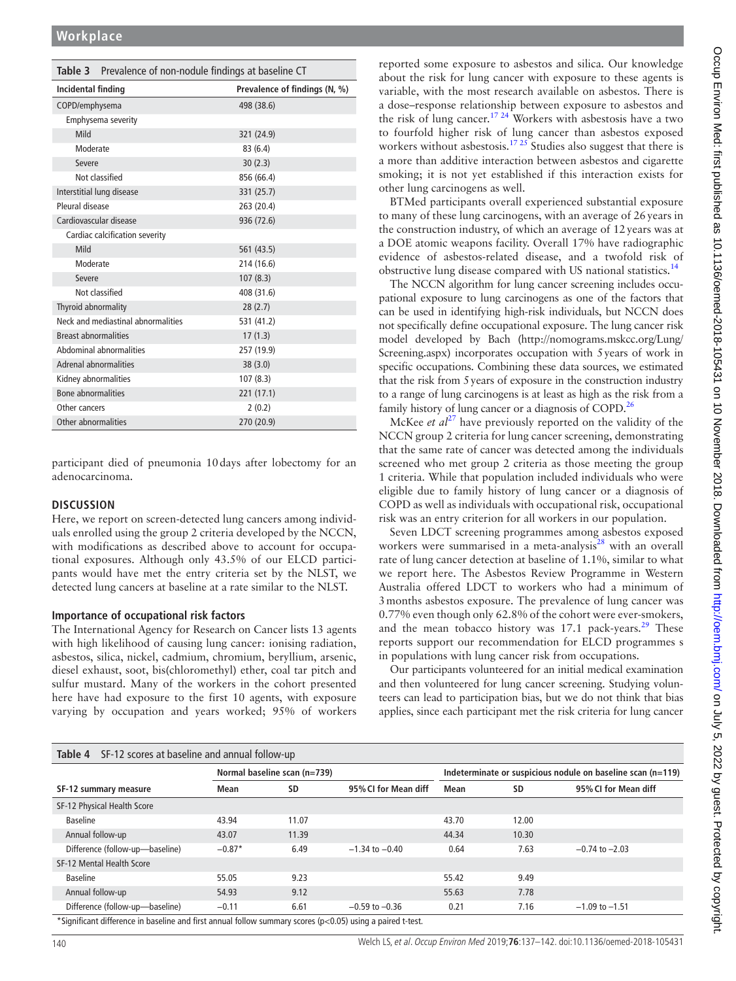<span id="page-3-0"></span>

| <b>Table 3</b> Prevalence of non-nodule findings at baseline CT |                               |  |  |  |
|-----------------------------------------------------------------|-------------------------------|--|--|--|
| Incidental finding                                              | Prevalence of findings (N, %) |  |  |  |
| COPD/emphysema                                                  | 498 (38.6)                    |  |  |  |
| Emphysema severity                                              |                               |  |  |  |
| Mild                                                            | 321 (24.9)                    |  |  |  |
| Moderate                                                        | 83(6.4)                       |  |  |  |
| Severe                                                          | 30(2.3)                       |  |  |  |
| Not classified                                                  | 856 (66.4)                    |  |  |  |
| Interstitial lung disease                                       | 331 (25.7)                    |  |  |  |
| Pleural disease                                                 | 263 (20.4)                    |  |  |  |
| Cardiovascular disease                                          | 936 (72.6)                    |  |  |  |
| Cardiac calcification severity                                  |                               |  |  |  |
| Mild                                                            | 561 (43.5)                    |  |  |  |
| Moderate                                                        | 214 (16.6)                    |  |  |  |
| Severe                                                          | 107(8.3)                      |  |  |  |
| Not classified                                                  | 408 (31.6)                    |  |  |  |
| Thyroid abnormality                                             | 28(2.7)                       |  |  |  |
| Neck and mediastinal abnormalities                              | 531 (41.2)                    |  |  |  |
| <b>Breast abnormalities</b>                                     | 17(1.3)                       |  |  |  |
| Abdominal abnormalities                                         | 257 (19.9)                    |  |  |  |
| Adrenal abnormalities                                           | 38(3.0)                       |  |  |  |
| Kidney abnormalities                                            | 107(8.3)                      |  |  |  |
| <b>Bone abnormalities</b>                                       | 221 (17.1)                    |  |  |  |
| Other cancers                                                   | 2(0.2)                        |  |  |  |
| Other abnormalities                                             | 270 (20.9)                    |  |  |  |

participant died of pneumonia 10days after lobectomy for an adenocarcinoma.

## **Discussion**

Here, we report on screen-detected lung cancers among individuals enrolled using the group 2 criteria developed by the NCCN, with modifications as described above to account for occupational exposures. Although only 43.5% of our ELCD participants would have met the entry criteria set by the NLST, we detected lung cancers at baseline at a rate similar to the NLST.

## **Importance of occupational risk factors**

The International Agency for Research on Cancer lists 13 agents with high likelihood of causing lung cancer: ionising radiation, asbestos, silica, nickel, cadmium, chromium, beryllium, arsenic, diesel exhaust, soot, bis(chloromethyl) ether, coal tar pitch and sulfur mustard. Many of the workers in the cohort presented here have had exposure to the first 10 agents, with exposure varying by occupation and years worked; 95% of workers

reported some exposure to asbestos and silica. Our knowledge about the risk for lung cancer with exposure to these agents is variable, with the most research available on asbestos. There is a dose–response relationship between exposure to asbestos and the risk of lung cancer.<sup>[17 24](#page-5-11)</sup> Workers with asbestosis have a two to fourfold higher risk of lung cancer than asbestos exposed workers without asbestosis.<sup>17 25</sup> Studies also suggest that there is a more than additive interaction between asbestos and cigarette smoking; it is not yet established if this interaction exists for other lung carcinogens as well.

BTMed participants overall experienced substantial exposure to many of these lung carcinogens, with an average of 26years in the construction industry, of which an average of 12years was at a DOE atomic weapons facility. Overall 17% have radiographic evidence of asbestos-related disease, and a twofold risk of obstructive lung disease compared with US national statistics.[14](#page-5-8)

The NCCN algorithm for lung cancer screening includes occupational exposure to lung carcinogens as one of the factors that can be used in identifying high-risk individuals, but NCCN does not specifically define occupational exposure. The lung cancer risk model developed by Bach [\(http://nomograms.mskcc.org/Lung/](http://nomograms.mskcc.org/Lung/Screening.aspx) [Screening.aspx](http://nomograms.mskcc.org/Lung/Screening.aspx)) incorporates occupation with 5years of work in specific occupations. Combining these data sources, we estimated that the risk from 5years of exposure in the construction industry to a range of lung carcinogens is at least as high as the risk from a family history of lung cancer or a diagnosis of COPD.<sup>26</sup>

McKee *et al*<sup>[27](#page-5-17)</sup> have previously reported on the validity of the NCCN group 2 criteria for lung cancer screening, demonstrating that the same rate of cancer was detected among the individuals screened who met group 2 criteria as those meeting the group 1 criteria. While that population included individuals who were eligible due to family history of lung cancer or a diagnosis of COPD as well as individuals with occupational risk, occupational risk was an entry criterion for all workers in our population.

Seven LDCT screening programmes among asbestos exposed workers were summarised in a meta-analysis<sup>28</sup> with an overall rate of lung cancer detection at baseline of 1.1%, similar to what we report here. The Asbestos Review Programme in Western Australia offered LDCT to workers who had a minimum of 3months asbestos exposure. The prevalence of lung cancer was 0.77% even though only 62.8% of the cohort were ever-smokers, and the mean tobacco history was  $17.1$  pack-years.<sup>29</sup> These reports support our recommendation for ELCD programmes s in populations with lung cancer risk from occupations.

Our participants volunteered for an initial medical examination and then volunteered for lung cancer screening. Studying volunteers can lead to participation bias, but we do not think that bias applies, since each participant met the risk criteria for lung cancer

<span id="page-3-1"></span>

| <b>Table 4</b> SF-12 scores at baseline and annual follow-up                                               |                              |       |                      |                                                             |       |                      |  |
|------------------------------------------------------------------------------------------------------------|------------------------------|-------|----------------------|-------------------------------------------------------------|-------|----------------------|--|
|                                                                                                            | Normal baseline scan (n=739) |       |                      | Indeterminate or suspicious nodule on baseline scan (n=119) |       |                      |  |
| SF-12 summary measure                                                                                      | Mean                         | SD    | 95% CI for Mean diff | Mean                                                        | SD    | 95% CI for Mean diff |  |
| SF-12 Physical Health Score                                                                                |                              |       |                      |                                                             |       |                      |  |
| <b>Baseline</b>                                                                                            | 43.94                        | 11.07 |                      | 43.70                                                       | 12.00 |                      |  |
| Annual follow-up                                                                                           | 43.07                        | 11.39 |                      | 44.34                                                       | 10.30 |                      |  |
| Difference (follow-up-baseline)                                                                            | $-0.87*$                     | 6.49  | $-1.34$ to $-0.40$   | 0.64                                                        | 7.63  | $-0.74$ to $-2.03$   |  |
| SF-12 Mental Health Score                                                                                  |                              |       |                      |                                                             |       |                      |  |
| <b>Baseline</b>                                                                                            | 55.05                        | 9.23  |                      | 55.42                                                       | 9.49  |                      |  |
| Annual follow-up                                                                                           | 54.93                        | 9.12  |                      | 55.63                                                       | 7.78  |                      |  |
| Difference (follow-up-baseline)                                                                            | $-0.11$                      | 6.61  | $-0.59$ to $-0.36$   | 0.21                                                        | 7.16  | $-1.09$ to $-1.51$   |  |
| *Significant difference in baseline and first annual follow summary scores (p<0.05) using a paired t-test. |                              |       |                      |                                                             |       |                      |  |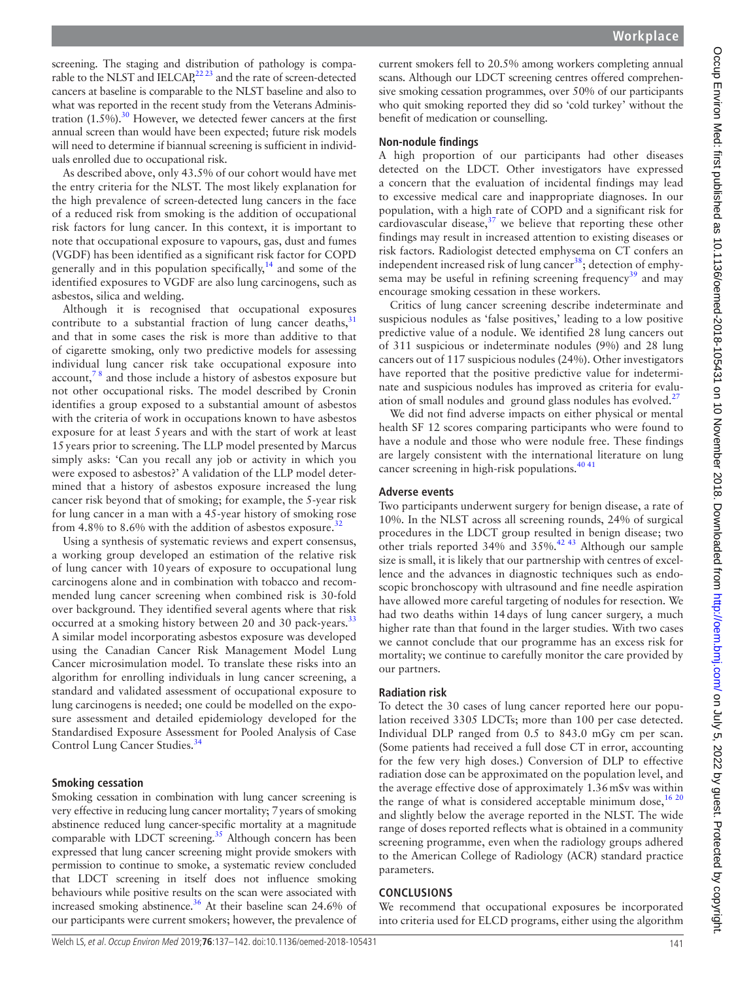screening. The staging and distribution of pathology is comparable to the NLST and IELCAP,  $^{22}$  23 and the rate of screen-detected cancers at baseline is comparable to the NLST baseline and also to what was reported in the recent study from the Veterans Administration  $(1.5\%)$ .<sup>30</sup> However, we detected fewer cancers at the first annual screen than would have been expected; future risk models will need to determine if biannual screening is sufficient in individuals enrolled due to occupational risk.

As described above, only 43.5% of our cohort would have met the entry criteria for the NLST. The most likely explanation for the high prevalence of screen-detected lung cancers in the face of a reduced risk from smoking is the addition of occupational risk factors for lung cancer. In this context, it is important to note that occupational exposure to vapours, gas, dust and fumes (VGDF) has been identified as a significant risk factor for COPD generally and in this population specifically, $14$  and some of the identified exposures to VGDF are also lung carcinogens, such as asbestos, silica and welding.

Although it is recognised that occupational exposures contribute to a substantial fraction of lung cancer deaths,  $31$ and that in some cases the risk is more than additive to that of cigarette smoking, only two predictive models for assessing individual lung cancer risk take occupational exposure into account,[7 8](#page-5-4) and those include a history of asbestos exposure but not other occupational risks. The model described by Cronin identifies a group exposed to a substantial amount of asbestos with the criteria of work in occupations known to have asbestos exposure for at least 5years and with the start of work at least 15years prior to screening. The LLP model presented by Marcus simply asks: 'Can you recall any job or activity in which you were exposed to asbestos?' A validation of the LLP model determined that a history of asbestos exposure increased the lung cancer risk beyond that of smoking; for example, the 5-year risk for lung cancer in a man with a 45-year history of smoking rose from 4.8% to 8.6% with the addition of asbestos exposure. $32$ 

Using a synthesis of systematic reviews and expert consensus, a working group developed an estimation of the relative risk of lung cancer with 10years of exposure to occupational lung carcinogens alone and in combination with tobacco and recommended lung cancer screening when combined risk is 30-fold over background. They identified several agents where that risk occurred at a smoking history between 20 and 30 pack-years.<sup>[33](#page-5-23)</sup> A similar model incorporating asbestos exposure was developed using the Canadian Cancer Risk Management Model Lung Cancer microsimulation model. To translate these risks into an algorithm for enrolling individuals in lung cancer screening, a standard and validated assessment of occupational exposure to lung carcinogens is needed; one could be modelled on the exposure assessment and detailed epidemiology developed for the Standardised Exposure Assessment for Pooled Analysis of Case Control Lung Cancer Studies.<sup>[34](#page-5-24)</sup>

#### **Smoking cessation**

Smoking cessation in combination with lung cancer screening is very effective in reducing lung cancer mortality; 7years of smoking abstinence reduced lung cancer-specific mortality at a magnitude comparable with LDCT screening.<sup>35</sup> Although concern has been expressed that lung cancer screening might provide smokers with permission to continue to smoke, a systematic review concluded that LDCT screening in itself does not influence smoking behaviours while positive results on the scan were associated with increased smoking abstinence.<sup>36</sup> At their baseline scan 24.6% of our participants were current smokers; however, the prevalence of

current smokers fell to 20.5% among workers completing annual scans. Although our LDCT screening centres offered comprehensive smoking cessation programmes, over 50% of our participants who quit smoking reported they did so 'cold turkey' without the benefit of medication or counselling.

## **Non-nodule findings**

A high proportion of our participants had other diseases detected on the LDCT. Other investigators have expressed a concern that the evaluation of incidental findings may lead to excessive medical care and inappropriate diagnoses. In our population, with a high rate of COPD and a significant risk for cardiovascular disease, $37$  we believe that reporting these other findings may result in increased attention to existing diseases or risk factors. Radiologist detected emphysema on CT confers an independent increased risk of lung cancer<sup>[38](#page-5-28)</sup>; detection of emphy-sema may be useful in refining screening frequency<sup>[39](#page-5-29)</sup> and may encourage smoking cessation in these workers.

Critics of lung cancer screening describe indeterminate and suspicious nodules as 'false positives,' leading to a low positive predictive value of a nodule. We identified 28 lung cancers out of 311 suspicious or indeterminate nodules (9%) and 28 lung cancers out of 117 suspicious nodules (24%). Other investigators have reported that the positive predictive value for indeterminate and suspicious nodules has improved as criteria for evalu-ation of small nodules and ground glass nodules has evolved.<sup>[27](#page-5-17)</sup>

We did not find adverse impacts on either physical or mental health SF 12 scores comparing participants who were found to have a nodule and those who were nodule free. These findings are largely consistent with the international literature on lung cancer screening in high-risk populations. $4041$ 

## **Adverse events**

Two participants underwent surgery for benign disease, a rate of 10%. In the NLST across all screening rounds, 24% of surgical procedures in the LDCT group resulted in benign disease; two other trials reported 34% and 35%.[42 43](#page-5-31) Although our sample size is small, it is likely that our partnership with centres of excellence and the advances in diagnostic techniques such as endoscopic bronchoscopy with ultrasound and fine needle aspiration have allowed more careful targeting of nodules for resection. We had two deaths within 14days of lung cancer surgery, a much higher rate than that found in the larger studies. With two cases we cannot conclude that our programme has an excess risk for mortality; we continue to carefully monitor the care provided by our partners.

### **Radiation risk**

To detect the 30 cases of lung cancer reported here our population received 3305 LDCTs; more than 100 per case detected. Individual DLP ranged from 0.5 to 843.0 mGy cm per scan. (Some patients had received a full dose CT in error, accounting for the few very high doses.) Conversion of DLP to effective radiation dose can be approximated on the population level, and the average effective dose of approximately 1.36mSv was within the range of what is considered acceptable minimum dose,  $1620$ and slightly below the average reported in the NLST. The wide range of doses reported reflects what is obtained in a community screening programme, even when the radiology groups adhered to the American College of Radiology (ACR) standard practice parameters.

## **Conclusions**

We recommend that occupational exposures be incorporated into criteria used for ELCD programs, either using the algorithm